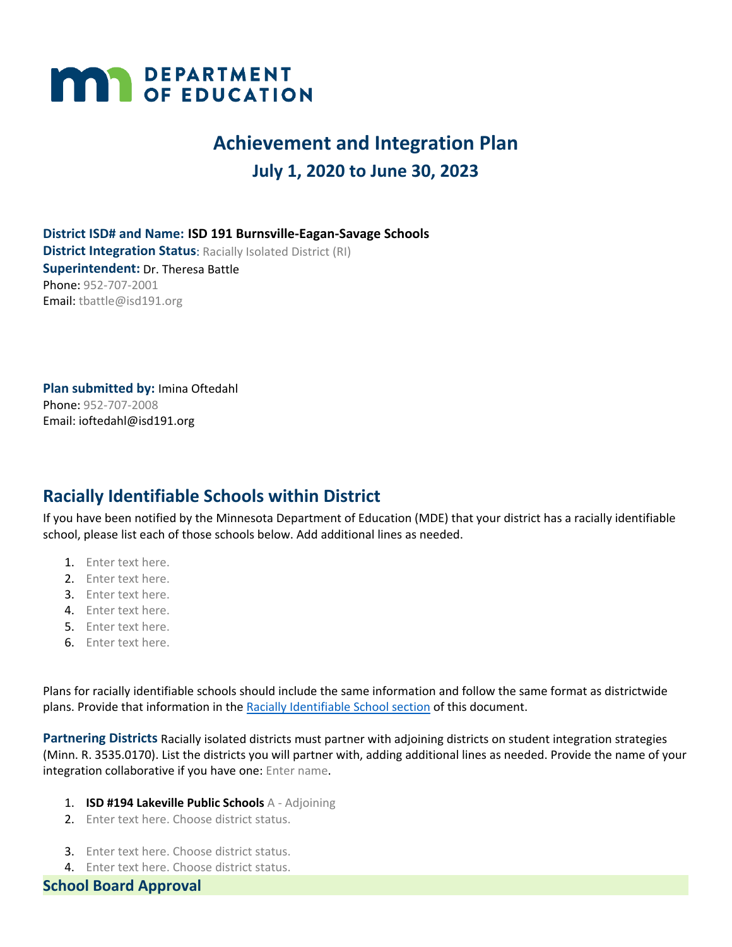# **MAY DEPARTMENT**

# **Achievement and Integration Plan July 1, 2020 to June 30, 2023**

**District ISD# and Name: ISD 191 Burnsville-Eagan-Savage Schools District Integration Status: Racially Isolated District (RI) Superintendent:** Dr. Theresa Battle Phone: 952-707-2001 Email: tbattle@isd191.org

**Plan submitted by:** Imina Oftedahl Phone: 952-707-2008 Email: ioftedahl@isd191.org

# **Racially Identifiable Schools within District**

If you have been notified by the Minnesota Department of Education (MDE) that your district has a racially identifiable school, please list each of those schools below. Add additional lines as needed.

- 1. Enter text here.
- 2. Enter text here.
- 3. Enter text here.
- 4. Enter text here.
- 5. Enter text here.
- 6. Enter text here.

Plans for racially identifiable schools should include the same information and follow the same format as districtwide plans. Provide that information in the Racially Identifiable School section of this document.

**Partnering Districts** Racially isolated districts must partner with adjoining districts on student integration strategies (Minn. R. 3535.0170). List the districts you will partner with, adding additional lines as needed. Provide the name of your integration collaborative if you have one: Enter name.

- 1. **ISD #194 Lakeville Public Schools** A Adjoining
- 2. Enter text here. Choose district status.
- 3. Enter text here. Choose district status.
- 4. Enter text here. Choose district status.

**School Board Approval**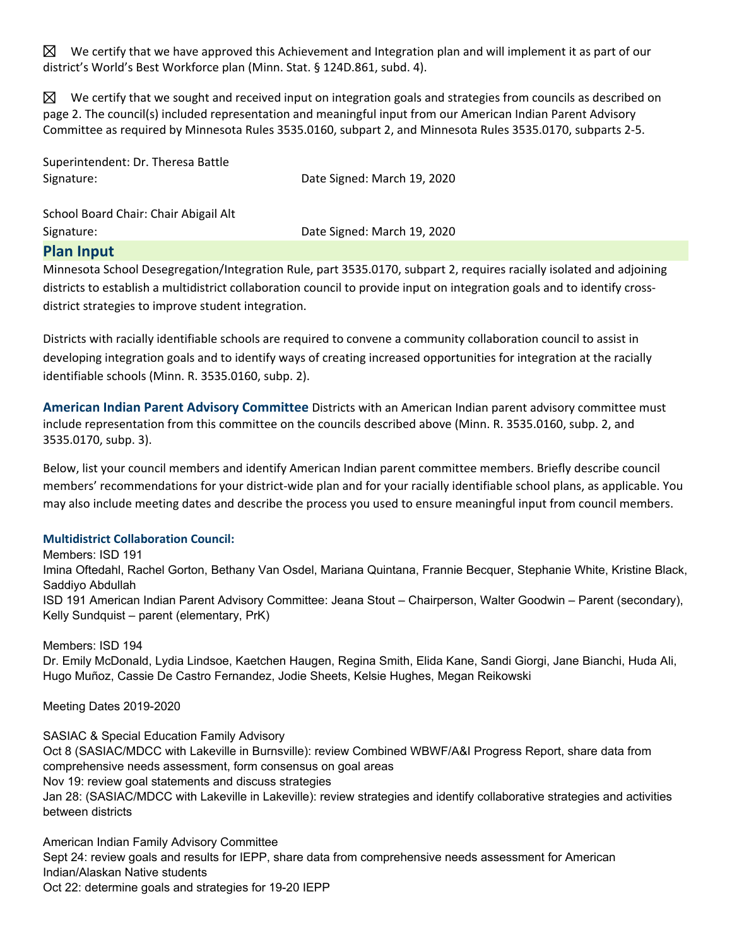$\boxtimes$  We certify that we have approved this Achievement and Integration plan and will implement it as part of our district's World's Best Workforce plan (Minn. Stat. § 124D.861, subd. 4).

 $\boxtimes$  We certify that we sought and received input on integration goals and strategies from councils as described on page 2. The council(s) included representation and meaningful input from our American Indian Parent Advisory Committee as required by Minnesota Rules 3535.0160, subpart 2, and Minnesota Rules 3535.0170, subparts 2-5.

Superintendent: Dr. Theresa Battle Signature: Date Signed: March 19, 2020

School Board Chair: Chair Abigail Alt Signature: Date Signed: March 19, 2020

## **Plan Input**

Minnesota School Desegregation/Integration Rule, part 3535.0170, subpart 2, requires racially isolated and adjoining districts to establish a multidistrict collaboration council to provide input on integration goals and to identify crossdistrict strategies to improve student integration.

Districts with racially identifiable schools are required to convene a community collaboration council to assist in developing integration goals and to identify ways of creating increased opportunities for integration at the racially identifiable schools (Minn. R. 3535.0160, subp. 2).

**American Indian Parent Advisory Committee** Districts with an American Indian parent advisory committee must include representation from this committee on the councils described above (Minn. R. 3535.0160, subp. 2, and 3535.0170, subp. 3).

Below, list your council members and identify American Indian parent committee members. Briefly describe council members' recommendations for your district-wide plan and for your racially identifiable school plans, as applicable. You may also include meeting dates and describe the process you used to ensure meaningful input from council members.

## **Multidistrict Collaboration Council:**

Members: ISD 191 Imina Oftedahl, Rachel Gorton, Bethany Van Osdel, Mariana Quintana, Frannie Becquer, Stephanie White, Kristine Black, Saddiyo Abdullah ISD 191 American Indian Parent Advisory Committee: Jeana Stout – Chairperson, Walter Goodwin – Parent (secondary), Kelly Sundquist – parent (elementary, PrK)

## Members: ISD 194

Dr. Emily McDonald, Lydia Lindsoe, Kaetchen Haugen, Regina Smith, Elida Kane, Sandi Giorgi, Jane Bianchi, Huda Ali, Hugo Muñoz, Cassie De Castro Fernandez, Jodie Sheets, Kelsie Hughes, Megan Reikowski

Meeting Dates 2019-2020

SASIAC & Special Education Family Advisory Oct 8 (SASIAC/MDCC with Lakeville in Burnsville): review Combined WBWF/A&I Progress Report, share data from comprehensive needs assessment, form consensus on goal areas Nov 19: review goal statements and discuss strategies Jan 28: (SASIAC/MDCC with Lakeville in Lakeville): review strategies and identify collaborative strategies and activities between districts

American Indian Family Advisory Committee Sept 24: review goals and results for IEPP, share data from comprehensive needs assessment for American Indian/Alaskan Native students Oct 22: determine goals and strategies for 19-20 IEPP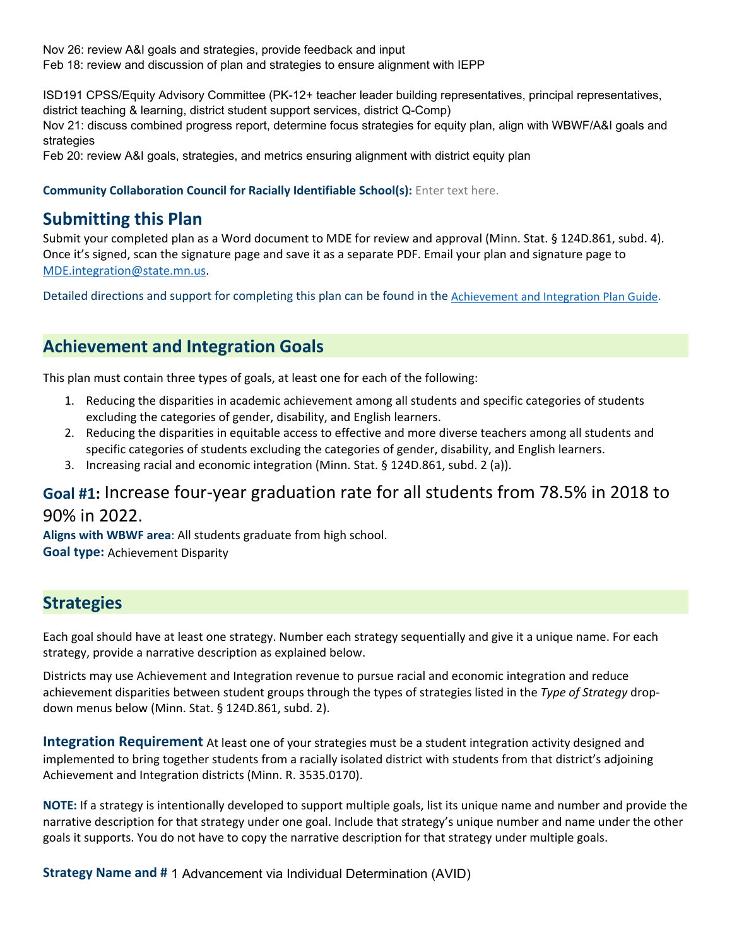Nov 26: review A&I goals and strategies, provide feedback and input Feb 18: review and discussion of plan and strategies to ensure alignment with IEPP

ISD191 CPSS/Equity Advisory Committee (PK-12+ teacher leader building representatives, principal representatives, district teaching & learning, district student support services, district Q-Comp)

Nov 21: discuss combined progress report, determine focus strategies for equity plan, align with WBWF/A&I goals and strategies

Feb 20: review A&I goals, strategies, and metrics ensuring alignment with district equity plan

### **Community Collaboration Council for Racially Identifiable School(s):** Enter text here.

# **Submitting this Plan**

Submit your completed plan as a Word document to MDE for review and approval (Minn. Stat. § 124D.861, subd. 4). Once it's signed, scan the signature page and save it as a separate PDF. Email your plan and signature page to MDE.integration@state.mn.us.

Detailed directions and support for completing this plan can be found in the Achievement and Integration Plan Guide.

# **Achievement and Integration Goals**

This plan must contain three types of goals, at least one for each of the following:

- 1. Reducing the disparities in academic achievement among all students and specific categories of students excluding the categories of gender, disability, and English learners.
- 2. Reducing the disparities in equitable access to effective and more diverse teachers among all students and specific categories of students excluding the categories of gender, disability, and English learners.
- 3. Increasing racial and economic integration (Minn. Stat. § 124D.861, subd. 2 (a)).

# **Goal #1:** Increase four-year graduation rate for all students from 78.5% in 2018 to 90% in 2022.

**Aligns with WBWF area**: All students graduate from high school.

**Goal type:** Achievement Disparity

# **Strategies**

Each goal should have at least one strategy. Number each strategy sequentially and give it a unique name. For each strategy, provide a narrative description as explained below.

Districts may use Achievement and Integration revenue to pursue racial and economic integration and reduce achievement disparities between student groups through the types of strategies listed in the *Type of Strategy* dropdown menus below (Minn. Stat. § 124D.861, subd. 2).

**Integration Requirement** At least one of your strategies must be a student integration activity designed and implemented to bring together students from a racially isolated district with students from that district's adjoining Achievement and Integration districts (Minn. R. 3535.0170).

**NOTE:** If a strategy is intentionally developed to support multiple goals, list its unique name and number and provide the narrative description for that strategy under one goal. Include that strategy's unique number and name under the other goals it supports. You do not have to copy the narrative description for that strategy under multiple goals.

**Strategy Name and #** 1 Advancement via Individual Determination (AVID)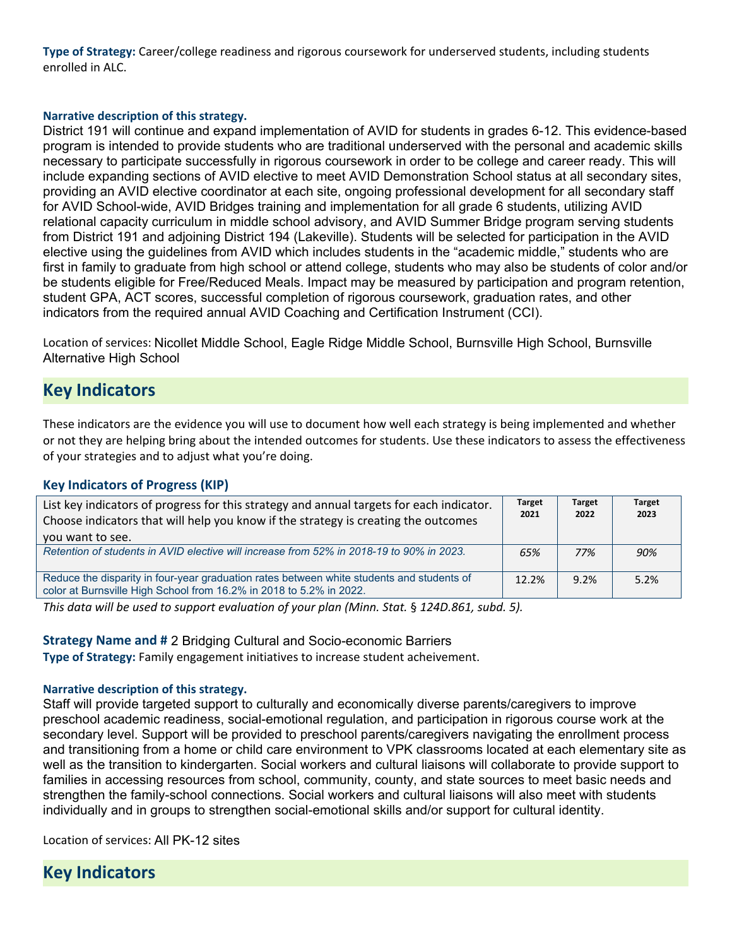**Type of Strategy:** Career/college readiness and rigorous coursework for underserved students, including students enrolled in ALC.

#### **Narrative description of this strategy.**

District 191 will continue and expand implementation of AVID for students in grades 6-12. This evidence-based program is intended to provide students who are traditional underserved with the personal and academic skills necessary to participate successfully in rigorous coursework in order to be college and career ready. This will include expanding sections of AVID elective to meet AVID Demonstration School status at all secondary sites, providing an AVID elective coordinator at each site, ongoing professional development for all secondary staff for AVID School-wide, AVID Bridges training and implementation for all grade 6 students, utilizing AVID relational capacity curriculum in middle school advisory, and AVID Summer Bridge program serving students from District 191 and adjoining District 194 (Lakeville). Students will be selected for participation in the AVID elective using the guidelines from AVID which includes students in the "academic middle," students who are first in family to graduate from high school or attend college, students who may also be students of color and/or be students eligible for Free/Reduced Meals. Impact may be measured by participation and program retention, student GPA, ACT scores, successful completion of rigorous coursework, graduation rates, and other indicators from the required annual AVID Coaching and Certification Instrument (CCI).

Location of services: Nicollet Middle School, Eagle Ridge Middle School, Burnsville High School, Burnsville Alternative High School

# **Key Indicators**

These indicators are the evidence you will use to document how well each strategy is being implemented and whether or not they are helping bring about the intended outcomes for students. Use these indicators to assess the effectiveness of your strategies and to adjust what you're doing.

## **Key Indicators of Progress (KIP)**

| List key indicators of progress for this strategy and annual targets for each indicator.<br>Choose indicators that will help you know if the strategy is creating the outcomes<br>you want to see. | <b>Target</b><br>2021 | <b>Target</b><br>2022 | <b>Target</b><br>2023 |  |
|----------------------------------------------------------------------------------------------------------------------------------------------------------------------------------------------------|-----------------------|-----------------------|-----------------------|--|
| Retention of students in AVID elective will increase from 52% in 2018-19 to 90% in 2023.                                                                                                           | 65%                   | 77%                   | 90%                   |  |
| Reduce the disparity in four-year graduation rates between white students and students of<br>color at Burnsville High School from 16.2% in 2018 to 5.2% in 2022.                                   | 12.2%                 | 9.2%                  | 5.2%                  |  |

*This data will be used to support evaluation of your plan (Minn. Stat.* § *124D.861, subd. 5).*

**Strategy Name and #** 2 Bridging Cultural and Socio-economic Barriers

**Type of Strategy:** Family engagement initiatives to increase student acheivement.

#### **Narrative description of this strategy.**

Staff will provide targeted support to culturally and economically diverse parents/caregivers to improve preschool academic readiness, social-emotional regulation, and participation in rigorous course work at the secondary level. Support will be provided to preschool parents/caregivers navigating the enrollment process and transitioning from a home or child care environment to VPK classrooms located at each elementary site as well as the transition to kindergarten. Social workers and cultural liaisons will collaborate to provide support to families in accessing resources from school, community, county, and state sources to meet basic needs and strengthen the family-school connections. Social workers and cultural liaisons will also meet with students individually and in groups to strengthen social-emotional skills and/or support for cultural identity.

Location of services: All PK-12 sites

**Key Indicators**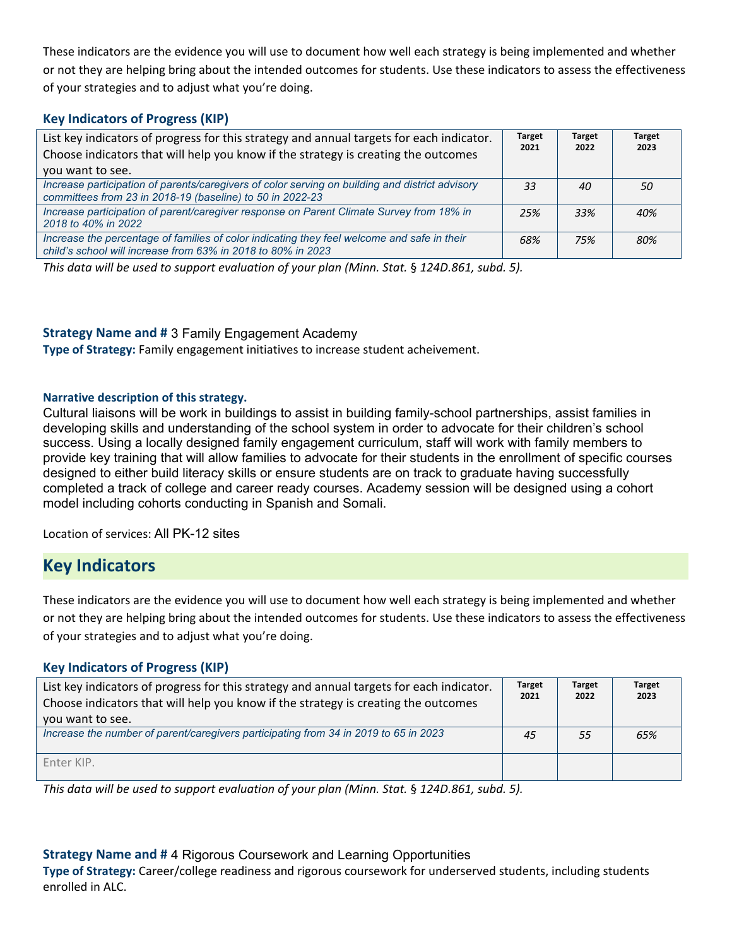These indicators are the evidence you will use to document how well each strategy is being implemented and whether or not they are helping bring about the intended outcomes for students. Use these indicators to assess the effectiveness of your strategies and to adjust what you're doing.

## **Key Indicators of Progress (KIP)**

| List key indicators of progress for this strategy and annual targets for each indicator.<br>Choose indicators that will help you know if the strategy is creating the outcomes<br>you want to see. | <b>Target</b><br>2021 | <b>Target</b><br>2022 | <b>Target</b><br>2023 |
|----------------------------------------------------------------------------------------------------------------------------------------------------------------------------------------------------|-----------------------|-----------------------|-----------------------|
| Increase participation of parents/caregivers of color serving on building and district advisory<br>committees from 23 in 2018-19 (baseline) to 50 in 2022-23                                       | 33                    | 40                    | 50                    |
| Increase participation of parent/caregiver response on Parent Climate Survey from 18% in<br>2018 to 40% in 2022                                                                                    | 25%                   | 33%                   | 40%                   |
| Increase the percentage of families of color indicating they feel welcome and safe in their<br>child's school will increase from 63% in 2018 to 80% in 2023                                        | 68%                   | 75%                   | 80%                   |

*This data will be used to support evaluation of your plan (Minn. Stat.* § *124D.861, subd. 5).*

## **Strategy Name and #** 3 Family Engagement Academy

**Type of Strategy:** Family engagement initiatives to increase student acheivement.

## **Narrative description of this strategy.**

Cultural liaisons will be work in buildings to assist in building family-school partnerships, assist families in developing skills and understanding of the school system in order to advocate for their children's school success. Using a locally designed family engagement curriculum, staff will work with family members to provide key training that will allow families to advocate for their students in the enrollment of specific courses designed to either build literacy skills or ensure students are on track to graduate having successfully completed a track of college and career ready courses. Academy session will be designed using a cohort model including cohorts conducting in Spanish and Somali.

Location of services: All PK-12 sites

# **Key Indicators**

These indicators are the evidence you will use to document how well each strategy is being implemented and whether or not they are helping bring about the intended outcomes for students. Use these indicators to assess the effectiveness of your strategies and to adjust what you're doing.

## **Key Indicators of Progress (KIP)**

| List key indicators of progress for this strategy and annual targets for each indicator.<br>Choose indicators that will help you know if the strategy is creating the outcomes | <b>Target</b><br>2021 | <b>Target</b><br>2022 | <b>Target</b><br>2023 |  |
|--------------------------------------------------------------------------------------------------------------------------------------------------------------------------------|-----------------------|-----------------------|-----------------------|--|
| you want to see.                                                                                                                                                               |                       |                       |                       |  |
| Increase the number of parent/caregivers participating from 34 in 2019 to 65 in 2023                                                                                           | 45                    | 55                    | 65%                   |  |
| Enter KIP.                                                                                                                                                                     |                       |                       |                       |  |

*This data will be used to support evaluation of your plan (Minn. Stat.* § *124D.861, subd. 5).*

## **Strategy Name and #** 4 Rigorous Coursework and Learning Opportunities

**Type of Strategy:** Career/college readiness and rigorous coursework for underserved students, including students enrolled in ALC.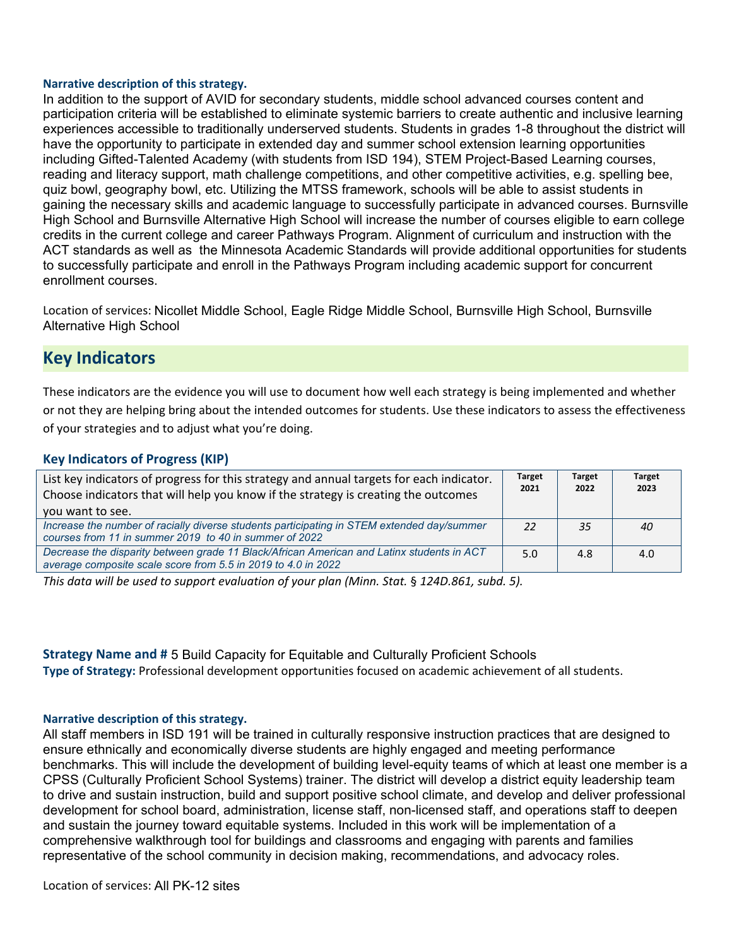#### **Narrative description of this strategy.**

In addition to the support of AVID for secondary students, middle school advanced courses content and participation criteria will be established to eliminate systemic barriers to create authentic and inclusive learning experiences accessible to traditionally underserved students. Students in grades 1-8 throughout the district will have the opportunity to participate in extended day and summer school extension learning opportunities including Gifted-Talented Academy (with students from ISD 194), STEM Project-Based Learning courses, reading and literacy support, math challenge competitions, and other competitive activities, e.g. spelling bee, quiz bowl, geography bowl, etc. Utilizing the MTSS framework, schools will be able to assist students in gaining the necessary skills and academic language to successfully participate in advanced courses. Burnsville High School and Burnsville Alternative High School will increase the number of courses eligible to earn college credits in the current college and career Pathways Program. Alignment of curriculum and instruction with the ACT standards as well as the Minnesota Academic Standards will provide additional opportunities for students to successfully participate and enroll in the Pathways Program including academic support for concurrent enrollment courses.

Location of services: Nicollet Middle School, Eagle Ridge Middle School, Burnsville High School, Burnsville Alternative High School

# **Key Indicators**

These indicators are the evidence you will use to document how well each strategy is being implemented and whether or not they are helping bring about the intended outcomes for students. Use these indicators to assess the effectiveness of your strategies and to adjust what you're doing.

#### **Key Indicators of Progress (KIP)**

| List key indicators of progress for this strategy and annual targets for each indicator.<br>Choose indicators that will help you know if the strategy is creating the outcomes | <b>Target</b><br>2021 | <b>Target</b><br>2022 | <b>Target</b><br>2023 |  |
|--------------------------------------------------------------------------------------------------------------------------------------------------------------------------------|-----------------------|-----------------------|-----------------------|--|
| you want to see.                                                                                                                                                               |                       |                       |                       |  |
| Increase the number of racially diverse students participating in STEM extended day/summer<br>courses from 11 in summer 2019 to 40 in summer of 2022                           | 22                    | 35                    | 40                    |  |
| Decrease the disparity between grade 11 Black/African American and Latinx students in ACT<br>average composite scale score from 5.5 in 2019 to 4.0 in 2022                     | 5.0                   | 4.8                   | 4.0                   |  |

*This data will be used to support evaluation of your plan (Minn. Stat.* § *124D.861, subd. 5).*

**Strategy Name and #** 5 Build Capacity for Equitable and Culturally Proficient Schools **Type of Strategy:** Professional development opportunities focused on academic achievement of all students.

#### **Narrative description of this strategy.**

All staff members in ISD 191 will be trained in culturally responsive instruction practices that are designed to ensure ethnically and economically diverse students are highly engaged and meeting performance benchmarks. This will include the development of building level-equity teams of which at least one member is a CPSS (Culturally Proficient School Systems) trainer. The district will develop a district equity leadership team to drive and sustain instruction, build and support positive school climate, and develop and deliver professional development for school board, administration, license staff, non-licensed staff, and operations staff to deepen and sustain the journey toward equitable systems. Included in this work will be implementation of a comprehensive walkthrough tool for buildings and classrooms and engaging with parents and families representative of the school community in decision making, recommendations, and advocacy roles.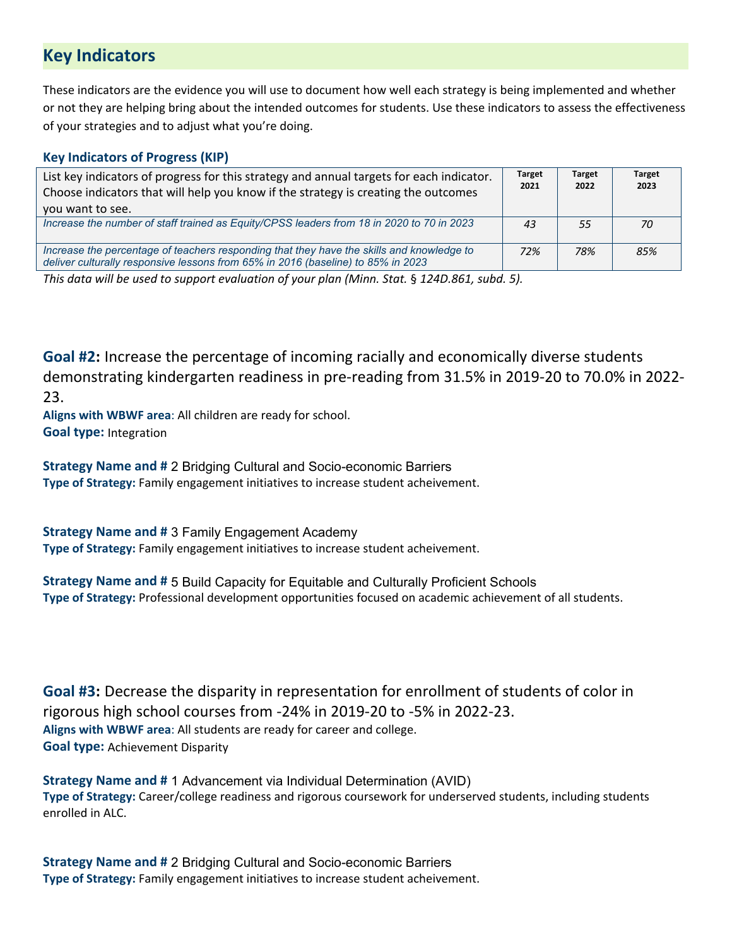# **Key Indicators**

These indicators are the evidence you will use to document how well each strategy is being implemented and whether or not they are helping bring about the intended outcomes for students. Use these indicators to assess the effectiveness of your strategies and to adjust what you're doing.

## **Key Indicators of Progress (KIP)**

| List key indicators of progress for this strategy and annual targets for each indicator.<br>Choose indicators that will help you know if the strategy is creating the outcomes<br>you want to see. | <b>Target</b><br>2021 | <b>Target</b><br>2022 | <b>Target</b><br>2023 |  |
|----------------------------------------------------------------------------------------------------------------------------------------------------------------------------------------------------|-----------------------|-----------------------|-----------------------|--|
| Increase the number of staff trained as Equity/CPSS leaders from 18 in 2020 to 70 in 2023                                                                                                          | 43                    | 55                    | 70                    |  |
| Increase the percentage of teachers responding that they have the skills and knowledge to<br>deliver culturally responsive lessons from 65% in 2016 (baseline) to 85% in 2023                      | 72%                   | 78%                   | 85%                   |  |

*This data will be used to support evaluation of your plan (Minn. Stat.* § *124D.861, subd. 5).*

**Goal #2:** Increase the percentage of incoming racially and economically diverse students demonstrating kindergarten readiness in pre-reading from 31.5% in 2019-20 to 70.0% in 2022- 23.

**Aligns with WBWF area**: All children are ready for school. **Goal type:** Integration

**Strategy Name and #** 2 Bridging Cultural and Socio-economic Barriers **Type of Strategy:** Family engagement initiatives to increase student acheivement.

**Strategy Name and #** 3 Family Engagement Academy **Type of Strategy:** Family engagement initiatives to increase student acheivement.

**Strategy Name and #** 5 Build Capacity for Equitable and Culturally Proficient Schools **Type of Strategy:** Professional development opportunities focused on academic achievement of all students.

**Goal #3:** Decrease the disparity in representation for enrollment of students of color in rigorous high school courses from -24% in 2019-20 to -5% in 2022-23. **Aligns with WBWF area**: All students are ready for career and college. **Goal type:** Achievement Disparity

**Strategy Name and #** 1 Advancement via Individual Determination (AVID) **Type of Strategy:** Career/college readiness and rigorous coursework for underserved students, including students enrolled in ALC.

**Strategy Name and #** 2 Bridging Cultural and Socio-economic Barriers **Type of Strategy:** Family engagement initiatives to increase student acheivement.